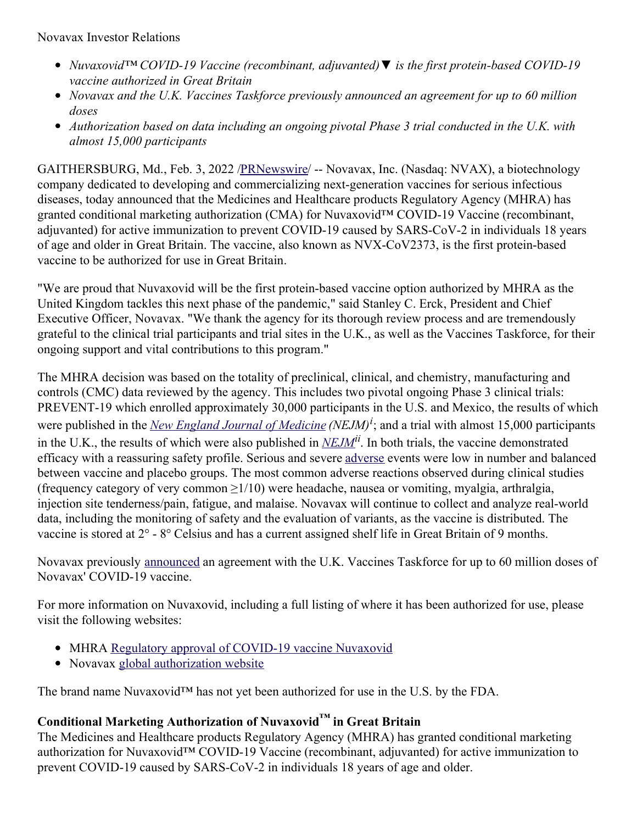Novavax Investor Relations

- *Nuvaxovid™ COVID-19 Vaccine (recombinant, adjuvanted)▼ is the first protein-based COVID-19 vaccine authorized in Great Britain*
- *Novavax and the U.K. Vaccines Taskforce previously announced an agreement for up to 60 million doses*
- *Authorization based on data including an ongoing pivotal Phase 3 trial conducted in the U.K. with almost 15,000 participants*

GAITHERSBURG, Md., Feb. 3, 2022 [/PRNewswire](http://www.prnewswire.com/)/ -- Novavax, Inc. (Nasdaq: NVAX), a biotechnology company dedicated to developing and commercializing next-generation vaccines for serious infectious diseases, today announced that the Medicines and Healthcare products Regulatory Agency (MHRA) has granted conditional marketing authorization (CMA) for Nuvaxovid<sup>™</sup> COVID-19 Vaccine (recombinant, adjuvanted) for active immunization to prevent COVID-19 caused by SARS-CoV-2 in individuals 18 years of age and older in Great Britain. The vaccine, also known as NVX-CoV2373, is the first protein-based vaccine to be authorized for use in Great Britain.

"We are proud that Nuvaxovid will be the first protein-based vaccine option authorized by MHRA as the United Kingdom tackles this next phase of the pandemic," said Stanley C. Erck, President and Chief Executive Officer, Novavax. "We thank the agency for its thorough review process and are tremendously grateful to the clinical trial participants and trial sites in the U.K., as well as the Vaccines Taskforce, for their ongoing support and vital contributions to this program."

The MHRA decision was based on the totality of preclinical, clinical, and chemistry, manufacturing and controls (CMC) data reviewed by the agency. This includes two pivotal ongoing Phase 3 clinical trials: PREVENT-19 which enrolled approximately 30,000 participants in the U.S. and Mexico, the results of which were published in the *New England Journal of [Medicine](https://c212.net/c/link/?t=0&l=en&o=3433069-1&h=3523464259&u=https%3A%2F%2Fwww.nejm.org%2Fdoi%2Ffull%2F10.1056%2FNEJMoa2116185%3Fquery%3Dfeatured_home&a=New+England+Journal+of+Medicine) (NEJM) i* ; and a trial with almost 15,000 participants in the U.K., the results of which were also published in *[NEJM](https://c212.net/c/link/?t=0&l=en&o=3433069-1&h=511195653&u=https%3A%2F%2Fwww.nejm.org%2Fdoi%2Ffull%2F10.1056%2FNEJMoa2107659&a=NEJM)ii* . In both trials, the vaccine demonstrated efficacy with a reassuring safety profile. Serious and severe [adverse](https://c212.net/c/link/?t=0&l=en&o=3433069-1&h=473920425&u=https%3A%2F%2Fprndl2-irisxe1.prnewswire.local%2FPrimaryContent.aspx%3Fdn%3D3433069-1-1+(ID-B19B8F80AE92).docx%26dt%3Dh%26ro%3DFalse%26fl%3D0%26lf%3Depc%26tid%3D5453419%26oldXEFileName%3DTask%2F2-2-2022%2F10%2F3433069-1-1+(ID-B19B8F80AE92)_XHTMLEditor.html%26isPrimContentChanged%3DTrue%26remObj%3DFalse%26userId%3D1519241%23adverse&a=adverse) events were low in number and balanced between vaccine and placebo groups. The most common adverse reactions observed during clinical studies (frequency category of very common  $\geq 1/10$ ) were headache, nausea or vomiting, myalgia, arthralgia, injection site tenderness/pain, fatigue, and malaise. Novavax will continue to collect and analyze real-world data, including the monitoring of safety and the evaluation of variants, as the vaccine is distributed. The vaccine is stored at 2° - 8° Celsius and has a current assigned shelf life in Great Britain of 9 months.

Novavax previously [announced](https://c212.net/c/link/?t=0&l=en&o=3433069-1&h=893163751&u=https%3A%2F%2Fir.novavax.com%2F2020-08-14-Novavax-and-UK-Government-Announce-Collaboration-and-Purchase-Agreement-for-Novavax-COVID-19-Vaccine-Candidate&a=announced) an agreement with the U.K. Vaccines Taskforce for up to 60 million doses of Novavax' COVID-19 vaccine.

For more information on Nuvaxovid, including a full listing of where it has been authorized for use, please visit the following websites:

- MHRA Regulatory approval of [COVID-19](https://c212.net/c/link/?t=0&l=en&o=3433069-1&h=4277402464&u=https%3A%2F%2Fwww.gov.uk%2Fgovernment%2Fpublications%2Fregulatory-approval-of-covid-19-vaccine-nuvaxovid&a=Regulatory+approval+of+COVID-19+vaccine+Nuvaxovid+) vaccine Nuvaxovid
- Novavax global [authorization](https://c212.net/c/link/?t=0&l=en&o=3433069-1&h=284047475&u=https%3A%2F%2Fwww.novavaxcovidvaccine.com%2F&a=global+authorization+website) website

The brand name Nuvaxovid™ has not yet been authorized for use in the U.S. by the FDA.

# **Conditional Marketing Authorization of Nuvaxovid™ in Great Britain**

The Medicines and Healthcare products Regulatory Agency (MHRA) has granted conditional marketing authorization for Nuvaxovid<sup>™</sup> COVID-19 Vaccine (recombinant, adjuvanted) for active immunization to prevent COVID-19 caused by SARS-CoV-2 in individuals 18 years of age and older.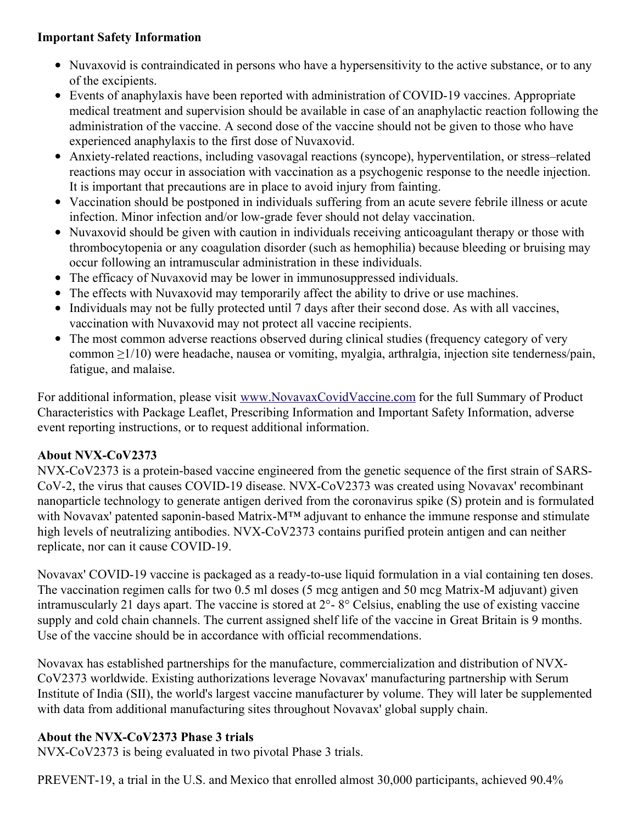## **Important Safety Information**

- Nuvaxovid is contraindicated in persons who have a hypersensitivity to the active substance, or to any of the excipients.
- Events of anaphylaxis have been reported with administration of COVID-19 vaccines. Appropriate medical treatment and supervision should be available in case of an anaphylactic reaction following the administration of the vaccine. A second dose of the vaccine should not be given to those who have experienced anaphylaxis to the first dose of Nuvaxovid.
- Anxiety-related reactions, including vasovagal reactions (syncope), hyperventilation, or stress–related reactions may occur in association with vaccination as a psychogenic response to the needle injection. It is important that precautions are in place to avoid injury from fainting.
- Vaccination should be postponed in individuals suffering from an acute severe febrile illness or acute infection. Minor infection and/or low-grade fever should not delay vaccination.
- Nuvaxovid should be given with caution in individuals receiving anticoagulant therapy or those with thrombocytopenia or any coagulation disorder (such as hemophilia) because bleeding or bruising may occur following an intramuscular administration in these individuals.
- The efficacy of Nuvaxovid may be lower in immunosuppressed individuals.
- The effects with Nuvaxovid may temporarily affect the ability to drive or use machines.
- Individuals may not be fully protected until 7 days after their second dose. As with all vaccines, vaccination with Nuvaxovid may not protect all vaccine recipients.
- The most common adverse reactions observed during clinical studies (frequency category of very common ≥1/10) were headache, nausea or vomiting, myalgia, arthralgia, injection site tenderness/pain, fatigue, and malaise.

For additional information, please visit [www.NovavaxCovidVaccine.com](https://c212.net/c/link/?t=0&l=en&o=3433069-1&h=892051756&u=https%3A%2F%2Fc212.net%2Fc%2Flink%2F%3Ft%3D0%26l%3Den%26o%3D3407775-1%26h%3D1457038180%26u%3Dhttp%253A%252F%252Fwww.novavaxcovidvaccine.com%252F%26a%3Dwww.NovavaxCovidVaccine.com&a=www.NovavaxCovidVaccine.com) for the full Summary of Product Characteristics with Package Leaflet, Prescribing Information and Important Safety Information, adverse event reporting instructions, or to request additional information.

## **About NVX-CoV2373**

NVX-CoV2373 is a protein-based vaccine engineered from the genetic sequence of the first strain of SARS-CoV-2, the virus that causes COVID-19 disease. NVX-CoV2373 was created using Novavax' recombinant nanoparticle technology to generate antigen derived from the coronavirus spike (S) protein and is formulated with Novavax' patented saponin-based Matrix-M™ adjuvant to enhance the immune response and stimulate high levels of neutralizing antibodies. NVX-CoV2373 contains purified protein antigen and can neither replicate, nor can it cause COVID-19.

Novavax' COVID-19 vaccine is packaged as a ready-to-use liquid formulation in a vial containing ten doses. The vaccination regimen calls for two 0.5 ml doses (5 mcg antigen and 50 mcg Matrix-M adjuvant) given intramuscularly 21 days apart. The vaccine is stored at 2°- 8° Celsius, enabling the use of existing vaccine supply and cold chain channels. The current assigned shelf life of the vaccine in Great Britain is 9 months. Use of the vaccine should be in accordance with official recommendations.

Novavax has established partnerships for the manufacture, commercialization and distribution of NVX-CoV2373 worldwide. Existing authorizations leverage Novavax' manufacturing partnership with Serum Institute of India (SII), the world's largest vaccine manufacturer by volume. They will later be supplemented with data from additional manufacturing sites throughout Novavax' global supply chain.

## **About the NVX-CoV2373 Phase 3 trials**

NVX-CoV2373 is being evaluated in two pivotal Phase 3 trials.

PREVENT-19, a trial in the U.S. and Mexico that enrolled almost 30,000 participants, achieved 90.4%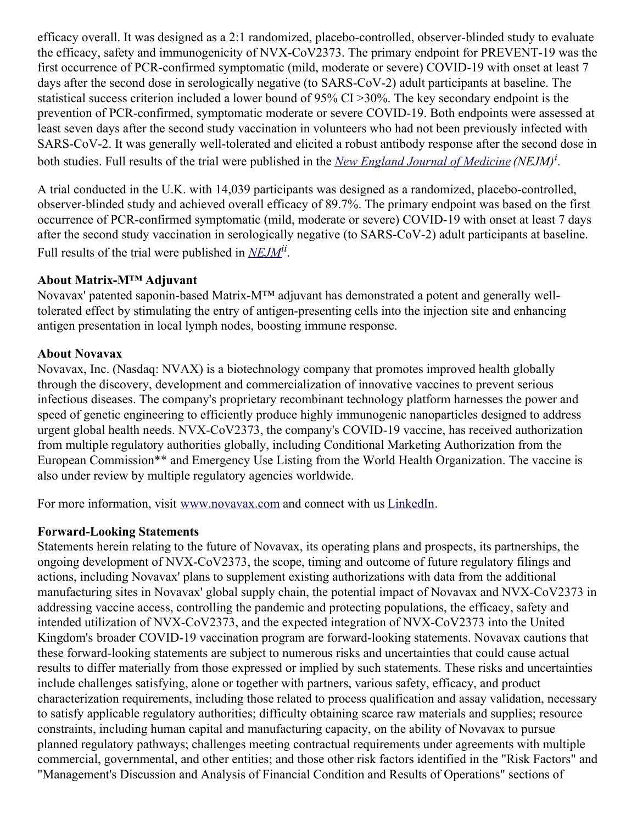efficacy overall. It was designed as a 2:1 randomized, placebo-controlled, observer-blinded study to evaluate the efficacy, safety and immunogenicity of NVX-CoV2373. The primary endpoint for PREVENT-19 was the first occurrence of PCR-confirmed symptomatic (mild, moderate or severe) COVID-19 with onset at least 7 days after the second dose in serologically negative (to SARS-CoV-2) adult participants at baseline. The statistical success criterion included a lower bound of 95% CI >30%. The key secondary endpoint is the prevention of PCR-confirmed, symptomatic moderate or severe COVID-19. Both endpoints were assessed at least seven days after the second study vaccination in volunteers who had not been previously infected with SARS-CoV-2. It was generally well-tolerated and elicited a robust antibody response after the second dose in both studies. Full results of the trial were published in the *New England Journal of [Medicine](https://c212.net/c/link/?t=0&l=en&o=3433069-1&h=3523464259&u=https%3A%2F%2Fwww.nejm.org%2Fdoi%2Ffull%2F10.1056%2FNEJMoa2116185%3Fquery%3Dfeatured_home&a=New+England+Journal+of+Medicine) (NEJM) i .*

A trial conducted in the U.K. with 14,039 participants was designed as a randomized, placebo-controlled, observer-blinded study and achieved overall efficacy of 89.7%. The primary endpoint was based on the first occurrence of PCR-confirmed symptomatic (mild, moderate or severe) COVID-19 with onset at least 7 days after the second study vaccination in serologically negative (to SARS-CoV-2) adult participants at baseline. Full results of the trial were published in *[NEJM](https://c212.net/c/link/?t=0&l=en&o=3433069-1&h=511195653&u=https%3A%2F%2Fwww.nejm.org%2Fdoi%2Ffull%2F10.1056%2FNEJMoa2107659&a=NEJM)ii* .

#### **About Matrix-M™ Adjuvant**

Novavax' patented saponin-based Matrix-M™ adjuvant has demonstrated a potent and generally welltolerated effect by stimulating the entry of antigen-presenting cells into the injection site and enhancing antigen presentation in local lymph nodes, boosting immune response.

#### **About Novavax**

Novavax, Inc. (Nasdaq: NVAX) is a biotechnology company that promotes improved health globally through the discovery, development and commercialization of innovative vaccines to prevent serious infectious diseases. The company's proprietary recombinant technology platform harnesses the power and speed of genetic engineering to efficiently produce highly immunogenic nanoparticles designed to address urgent global health needs. NVX-CoV2373, the company's COVID-19 vaccine, has received authorization from multiple regulatory authorities globally, including Conditional Marketing Authorization from the European Commission\*\* and Emergency Use Listing from the World Health Organization. The vaccine is also under review by multiple regulatory agencies worldwide.

For more information, visit [www.novavax.com](https://c212.net/c/link/?t=0&l=en&o=3433069-1&h=3401144437&u=http%3A%2F%2Fwww.novavax.com%2F&a=www.novavax.com) and connect with us [LinkedIn](https://c212.net/c/link/?t=0&l=en&o=3433069-1&h=3989023240&u=https%3A%2F%2Fwww.linkedin.com%2Fcompany%2Fnovavax%2F&a=LinkedIn).

## **Forward-Looking Statements**

Statements herein relating to the future of Novavax, its operating plans and prospects, its partnerships, the ongoing development of NVX-CoV2373, the scope, timing and outcome of future regulatory filings and actions, including Novavax' plans to supplement existing authorizations with data from the additional manufacturing sites in Novavax' global supply chain, the potential impact of Novavax and NVX-CoV2373 in addressing vaccine access, controlling the pandemic and protecting populations, the efficacy, safety and intended utilization of NVX-CoV2373, and the expected integration of NVX-CoV2373 into the United Kingdom's broader COVID-19 vaccination program are forward-looking statements. Novavax cautions that these forward-looking statements are subject to numerous risks and uncertainties that could cause actual results to differ materially from those expressed or implied by such statements. These risks and uncertainties include challenges satisfying, alone or together with partners, various safety, efficacy, and product characterization requirements, including those related to process qualification and assay validation, necessary to satisfy applicable regulatory authorities; difficulty obtaining scarce raw materials and supplies; resource constraints, including human capital and manufacturing capacity, on the ability of Novavax to pursue planned regulatory pathways; challenges meeting contractual requirements under agreements with multiple commercial, governmental, and other entities; and those other risk factors identified in the "Risk Factors" and "Management's Discussion and Analysis of Financial Condition and Results of Operations" sections of